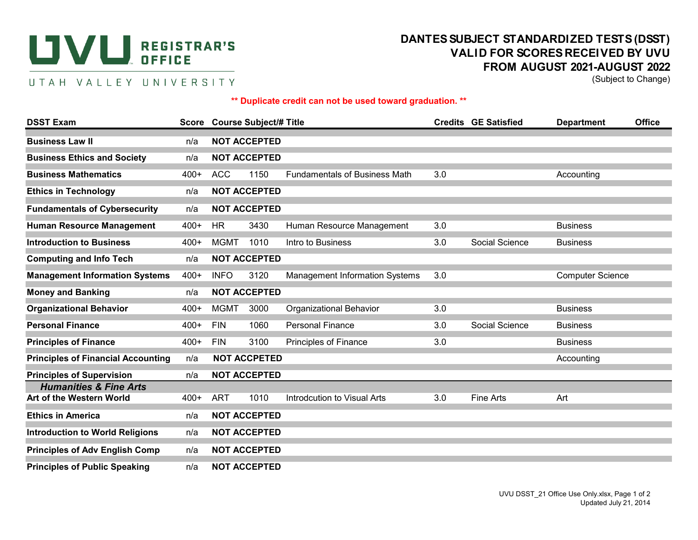## **UVU** REGISTRAR'S

## UTAH VALLEY UNIVERSITY

## **DANTES SUBJECT STANDARDIZED TESTS (DSST) VALID FOR SCORES RECEIVED BY UVU FROM AUGUST 2021-AUGUST 2022**

(Subject to Change)

## **\*\* Duplicate credit can not be used toward graduation. \*\***

| <b>DSST Exam</b>                                              |        |                     | Score Course Subject/# Title |                                       |     | <b>Credits GE Satisfied</b> | <b>Department</b>       | <b>Office</b> |  |  |
|---------------------------------------------------------------|--------|---------------------|------------------------------|---------------------------------------|-----|-----------------------------|-------------------------|---------------|--|--|
| <b>Business Law II</b>                                        | n/a    |                     | <b>NOT ACCEPTED</b>          |                                       |     |                             |                         |               |  |  |
| <b>Business Ethics and Society</b>                            | n/a    |                     | <b>NOT ACCEPTED</b>          |                                       |     |                             |                         |               |  |  |
| <b>Business Mathematics</b>                                   | $400+$ | <b>ACC</b>          | 1150                         | <b>Fundamentals of Business Math</b>  | 3.0 |                             | Accounting              |               |  |  |
| <b>Ethics in Technology</b>                                   | n/a    |                     | <b>NOT ACCEPTED</b>          |                                       |     |                             |                         |               |  |  |
| <b>Fundamentals of Cybersecurity</b>                          | n/a    |                     | <b>NOT ACCEPTED</b>          |                                       |     |                             |                         |               |  |  |
| <b>Human Resource Management</b>                              | $400+$ | <b>HR</b>           | 3430                         | Human Resource Management             | 3.0 |                             | <b>Business</b>         |               |  |  |
| <b>Introduction to Business</b>                               | $400+$ | <b>MGMT</b>         | 1010                         | Intro to Business                     | 3.0 | Social Science              | <b>Business</b>         |               |  |  |
| <b>Computing and Info Tech</b>                                | n/a    | <b>NOT ACCEPTED</b> |                              |                                       |     |                             |                         |               |  |  |
| <b>Management Information Systems</b>                         | $400+$ | <b>INFO</b>         | 3120                         | <b>Management Information Systems</b> | 3.0 |                             | <b>Computer Science</b> |               |  |  |
| <b>Money and Banking</b>                                      | n/a    | <b>NOT ACCEPTED</b> |                              |                                       |     |                             |                         |               |  |  |
| <b>Organizational Behavior</b>                                | $400+$ | <b>MGMT</b>         | 3000                         | <b>Organizational Behavior</b>        | 3.0 |                             | <b>Business</b>         |               |  |  |
| <b>Personal Finance</b>                                       | $400+$ | <b>FIN</b>          | 1060                         | <b>Personal Finance</b>               | 3.0 | Social Science              | <b>Business</b>         |               |  |  |
| <b>Principles of Finance</b>                                  | $400+$ | <b>FIN</b>          | 3100                         | Principles of Finance                 | 3.0 |                             | <b>Business</b>         |               |  |  |
| <b>Principles of Financial Accounting</b>                     | n/a    | <b>NOT ACCPETED</b> |                              |                                       |     |                             | Accounting              |               |  |  |
| <b>Principles of Supervision</b>                              | n/a    |                     | <b>NOT ACCEPTED</b>          |                                       |     |                             |                         |               |  |  |
| <b>Humanities &amp; Fine Arts</b><br>Art of the Western World | 400+   | ART                 | 1010                         | Introdcution to Visual Arts           | 3.0 | <b>Fine Arts</b>            | Art                     |               |  |  |
| <b>Ethics in America</b>                                      | n/a    |                     | <b>NOT ACCEPTED</b>          |                                       |     |                             |                         |               |  |  |
| <b>Introduction to World Religions</b>                        | n/a    |                     | <b>NOT ACCEPTED</b>          |                                       |     |                             |                         |               |  |  |
| <b>Principles of Adv English Comp</b>                         | n/a    |                     | <b>NOT ACCEPTED</b>          |                                       |     |                             |                         |               |  |  |
| <b>Principles of Public Speaking</b>                          | n/a    |                     | <b>NOT ACCEPTED</b>          |                                       |     |                             |                         |               |  |  |